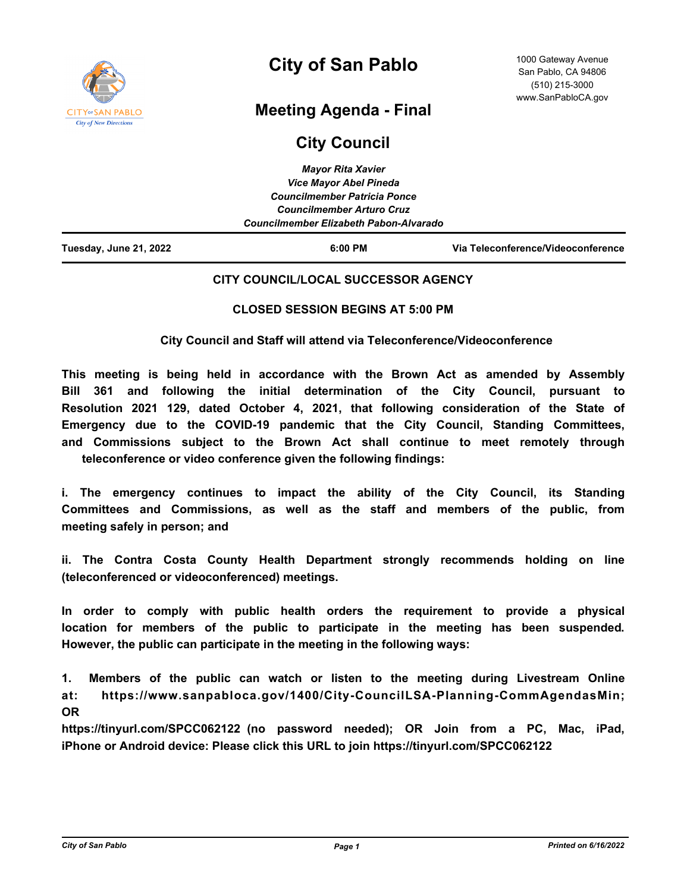

# **City of San Pablo**

## **Meeting Agenda - Final**

## **City Council**

| Tuesday, June 21, 2022 | $6:00$ PM                              | Via Teleconference/Videoconference |
|------------------------|----------------------------------------|------------------------------------|
|                        | Councilmember Elizabeth Pabon-Alvarado |                                    |
|                        | <b>Councilmember Arturo Cruz</b>       |                                    |
|                        | <b>Councilmember Patricia Ponce</b>    |                                    |
|                        | <b>Vice Mayor Abel Pineda</b>          |                                    |
|                        | <b>Mayor Rita Xavier</b>               |                                    |

## **CITY COUNCIL/LOCAL SUCCESSOR AGENCY**

## **CLOSED SESSION BEGINS AT 5:00 PM**

 **City Council and Staff will attend via Teleconference/Videoconference**

**This meeting is being held in accordance with the Brown Act as amended by Assembly Bill 361 and following the initial determination of the City Council, pursuant to Resolution 2021 129, dated October 4, 2021, that following consideration of the State of Emergency due to the COVID-19 pandemic that the City Council, Standing Committees, and Commissions subject to the Brown Act shall continue to meet remotely through teleconference or video conference given the following findings:** 

**i. The emergency continues to impact the ability of the City Council, its Standing Committees and Commissions, as well as the staff and members of the public, from meeting safely in person; and**

**ii. The Contra Costa County Health Department strongly recommends holding on line (teleconferenced or videoconferenced) meetings.** 

**In order to comply with public health orders the requirement to provide a physical location for members of the public to participate in the meeting has been suspended. However, the public can participate in the meeting in the following ways:**

**1. Members of the public can watch or listen to the meeting during Livestream Online at: https://www.sanpabloca.gov/1400/City-CouncilLSA-Planning-CommAgendasMin; OR**

**https://tinyurl.com/SPCC062122 (no password needed); OR Join from a PC, Mac, iPad, iPhone or Android device: Please click this URL to join https://tinyurl.com/SPCC062122**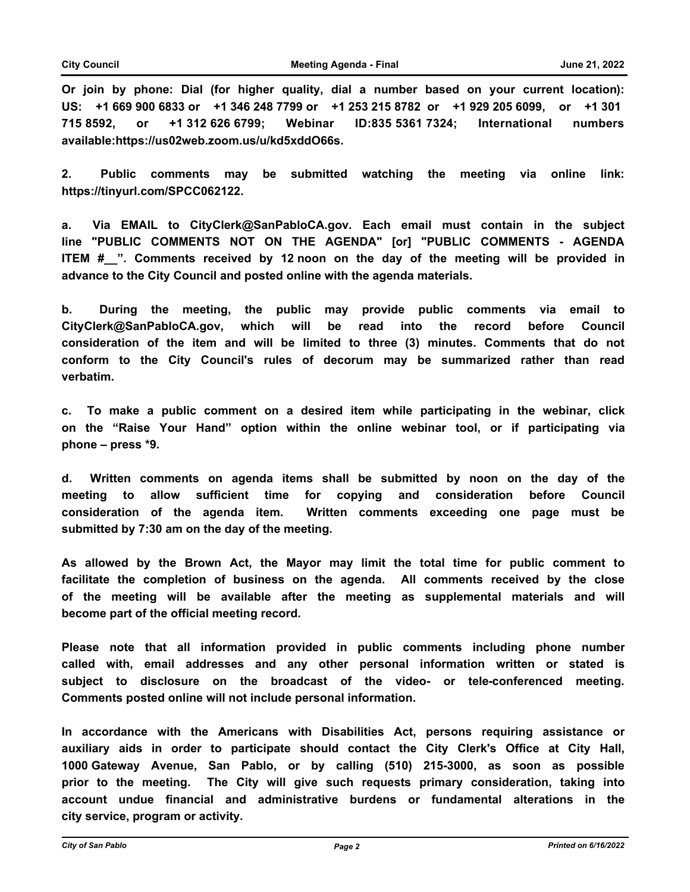**Or join by phone: Dial (for higher quality, dial a number based on your current location): US: +1 669 900 6833 or +1 346 248 7799 or +1 253 215 8782 or +1 929 205 6099, or +1 301 715 8592, or +1 312 626 6799; Webinar ID:835 5361 7324; International numbers available:https://us02web.zoom.us/u/kd5xddO66s.** 

**2. Public comments may be submitted watching the meeting via online link: https://tinyurl.com/SPCC062122.**

**a. Via EMAIL to CityClerk@SanPabloCA.gov. Each email must contain in the subject line "PUBLIC COMMENTS NOT ON THE AGENDA" [or] "PUBLIC COMMENTS - AGENDA ITEM #** ". Comments received by 12 noon on the day of the meeting will be provided in **advance to the City Council and posted online with the agenda materials.**

**b. During the meeting, the public may provide public comments via email to CityClerk@SanPabloCA.gov, which will be read into the record before Council consideration of the item and will be limited to three (3) minutes. Comments that do not conform to the City Council's rules of decorum may be summarized rather than read verbatim.**

**c. To make a public comment on a desired item while participating in the webinar, click on the "Raise Your Hand" option within the online webinar tool, or if participating via phone – press \*9.**

**d. Written comments on agenda items shall be submitted by noon on the day of the meeting to allow sufficient time for copying and consideration before Council consideration of the agenda item. Written comments exceeding one page must be submitted by 7:30 am on the day of the meeting.**

**As allowed by the Brown Act, the Mayor may limit the total time for public comment to facilitate the completion of business on the agenda. All comments received by the close of the meeting will be available after the meeting as supplemental materials and will become part of the official meeting record.** 

**Please note that all information provided in public comments including phone number called with, email addresses and any other personal information written or stated is subject to disclosure on the broadcast of the video- or tele-conferenced meeting. Comments posted online will not include personal information.**

**In accordance with the Americans with Disabilities Act, persons requiring assistance or auxiliary aids in order to participate should contact the City Clerk's Office at City Hall, 1000 Gateway Avenue, San Pablo, or by calling (510) 215-3000, as soon as possible prior to the meeting. The City will give such requests primary consideration, taking into account undue financial and administrative burdens or fundamental alterations in the city service, program or activity.**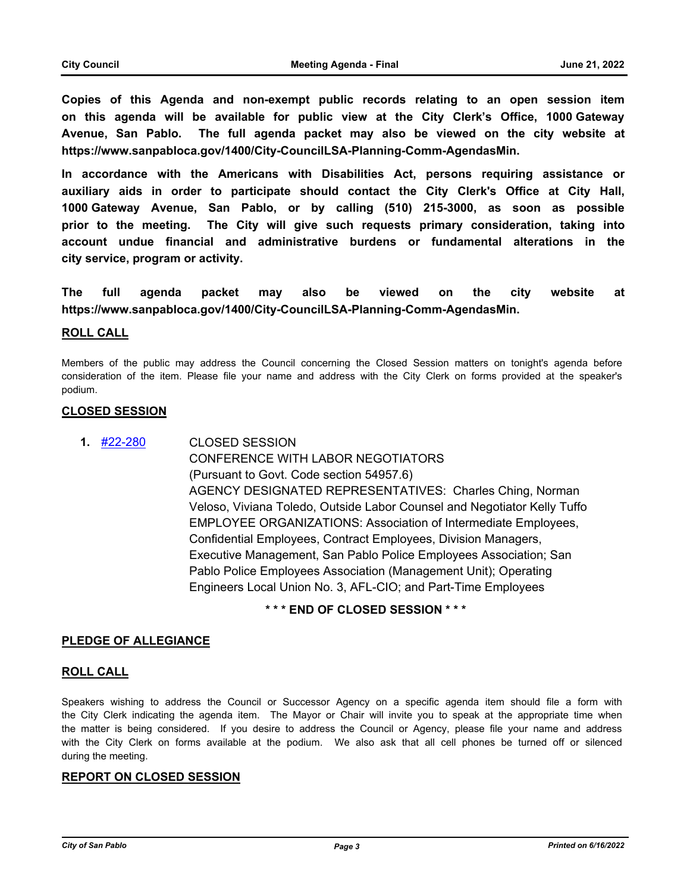**Copies of this Agenda and non-exempt public records relating to an open session item on this agenda will be available for public view at the City Clerk's Office, 1000 Gateway Avenue, San Pablo. The full agenda packet may also be viewed on the city website at https://www.sanpabloca.gov/1400/City-CouncilLSA-Planning-Comm-AgendasMin.**

**In accordance with the Americans with Disabilities Act, persons requiring assistance or auxiliary aids in order to participate should contact the City Clerk's Office at City Hall, 1000 Gateway Avenue, San Pablo, or by calling (510) 215-3000, as soon as possible prior to the meeting. The City will give such requests primary consideration, taking into account undue financial and administrative burdens or fundamental alterations in the city service, program or activity.**

**The full agenda packet may also be viewed on the city website at https://www.sanpabloca.gov/1400/City-CouncilLSA-Planning-Comm-AgendasMin.**

#### **ROLL CALL**

Members of the public may address the Council concerning the Closed Session matters on tonight's agenda before consideration of the item. Please file your name and address with the City Clerk on forms provided at the speaker's podium.

#### **CLOSED SESSION**

CLOSED SESSION CONFERENCE WITH LABOR NEGOTIATORS (Pursuant to Govt. Code section 54957.6) AGENCY DESIGNATED REPRESENTATIVES: Charles Ching, Norman Veloso, Viviana Toledo, Outside Labor Counsel and Negotiator Kelly Tuffo EMPLOYEE ORGANIZATIONS: Association of Intermediate Employees, Confidential Employees, Contract Employees, Division Managers, Executive Management, San Pablo Police Employees Association; San Pablo Police Employees Association (Management Unit); Operating Engineers Local Union No. 3, AFL-CIO; and Part-Time Employees **1.** [#22-280](http://sanpablo.legistar.com/gateway.aspx?m=l&id=/matter.aspx?key=5412)

## **\* \* \* END OF CLOSED SESSION \* \* \***

#### **PLEDGE OF ALLEGIANCE**

#### **ROLL CALL**

Speakers wishing to address the Council or Successor Agency on a specific agenda item should file a form with the City Clerk indicating the agenda item. The Mayor or Chair will invite you to speak at the appropriate time when the matter is being considered. If you desire to address the Council or Agency, please file your name and address with the City Clerk on forms available at the podium. We also ask that all cell phones be turned off or silenced during the meeting.

#### **REPORT ON CLOSED SESSION**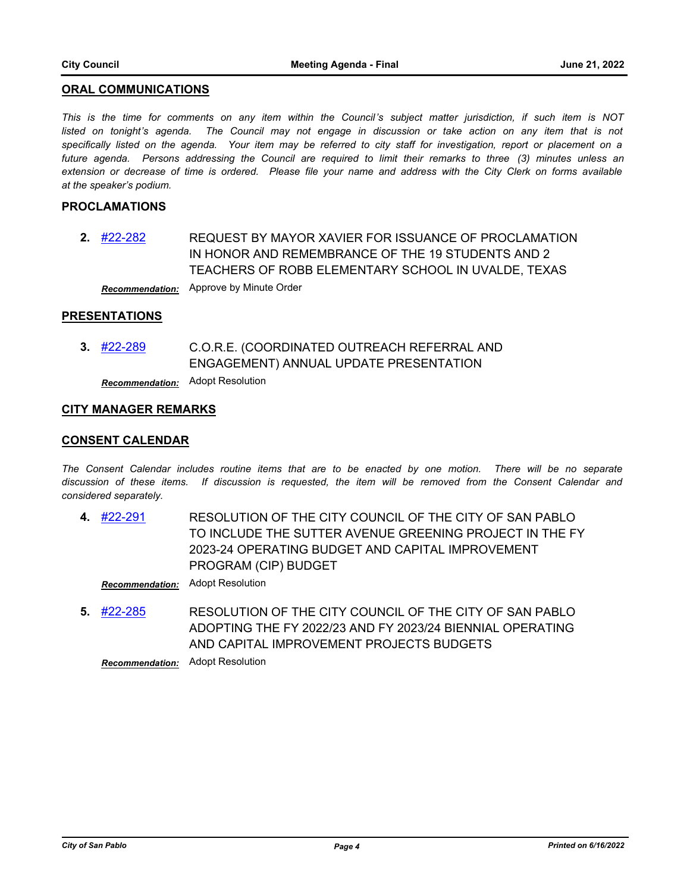#### **ORAL COMMUNICATIONS**

*This is the time for comments on any item within the Council's subject matter jurisdiction, if such item is NOT*  listed on tonight's agenda. The Council may not engage in discussion or take action on any item that is not *specifically listed on the agenda. Your item may be referred to city staff for investigation, report or placement on a future agenda. Persons addressing the Council are required to limit their remarks to three (3) minutes unless an extension or decrease of time is ordered. Please file your name and address with the City Clerk on forms available at the speaker's podium.*

### **PROCLAMATIONS**

REQUEST BY MAYOR XAVIER FOR ISSUANCE OF PROCLAMATION IN HONOR AND REMEMBRANCE OF THE 19 STUDENTS AND 2 TEACHERS OF ROBB ELEMENTARY SCHOOL IN UVALDE, TEXAS **2.** [#22-282](http://sanpablo.legistar.com/gateway.aspx?m=l&id=/matter.aspx?key=5414) *Recommendation:* Approve by Minute Order

#### **PRESENTATIONS**

C.O.R.E. (COORDINATED OUTREACH REFERRAL AND ENGAGEMENT) ANNUAL UPDATE PRESENTATION **3.** [#22-289](http://sanpablo.legistar.com/gateway.aspx?m=l&id=/matter.aspx?key=5421)

*Recommendation:* Adopt Resolution

#### **CITY MANAGER REMARKS**

#### **CONSENT CALENDAR**

*The Consent Calendar includes routine items that are to be enacted by one motion. There will be no separate discussion of these items. If discussion is requested, the item will be removed from the Consent Calendar and considered separately.*

RESOLUTION OF THE CITY COUNCIL OF THE CITY OF SAN PABLO TO INCLUDE THE SUTTER AVENUE GREENING PROJECT IN THE FY 2023-24 OPERATING BUDGET AND CAPITAL IMPROVEMENT PROGRAM (CIP) BUDGET **4.** [#22-291](http://sanpablo.legistar.com/gateway.aspx?m=l&id=/matter.aspx?key=5423)

*Recommendation:* Adopt Resolution

RESOLUTION OF THE CITY COUNCIL OF THE CITY OF SAN PABLO ADOPTING THE FY 2022/23 AND FY 2023/24 BIENNIAL OPERATING AND CAPITAL IMPROVEMENT PROJECTS BUDGETS **5.** [#22-285](http://sanpablo.legistar.com/gateway.aspx?m=l&id=/matter.aspx?key=5417)

*Recommendation:* Adopt Resolution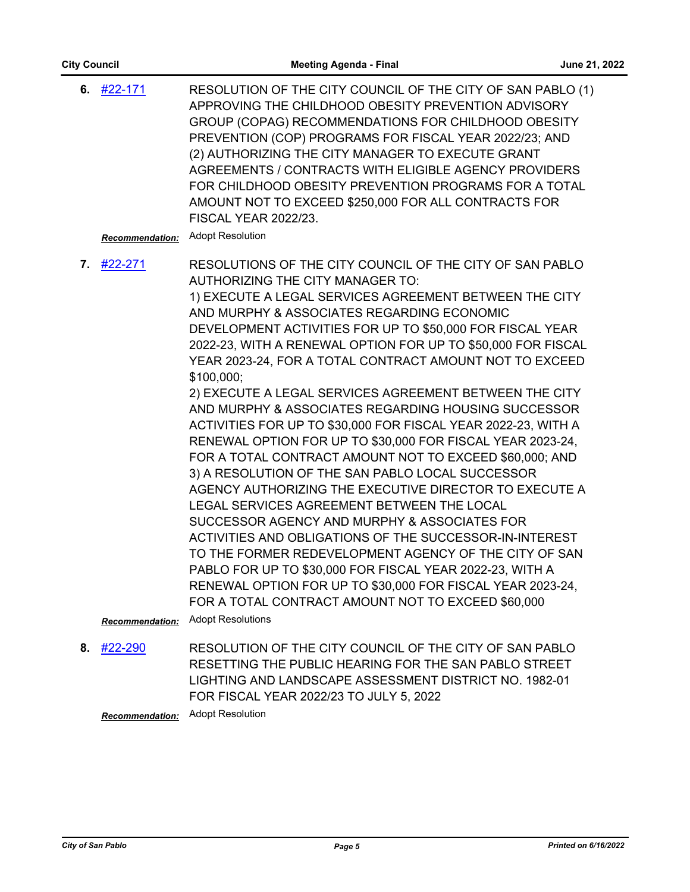| 6. $\#22-171$<br><b>Recommendation:</b> | RESOLUTION OF THE CITY COUNCIL OF THE CITY OF SAN PABLO (1)<br>APPROVING THE CHILDHOOD OBESITY PREVENTION ADVISORY<br>GROUP (COPAG) RECOMMENDATIONS FOR CHILDHOOD OBESITY<br>PREVENTION (COP) PROGRAMS FOR FISCAL YEAR 2022/23; AND<br>(2) AUTHORIZING THE CITY MANAGER TO EXECUTE GRANT<br>AGREEMENTS / CONTRACTS WITH ELIGIBLE AGENCY PROVIDERS<br>FOR CHILDHOOD OBESITY PREVENTION PROGRAMS FOR A TOTAL<br>AMOUNT NOT TO EXCEED \$250,000 FOR ALL CONTRACTS FOR<br><b>FISCAL YEAR 2022/23.</b><br><b>Adopt Resolution</b>                                                                                                                                                                                                                                                                                                                                                                                                                                                                                                                                                                                                                                                                                                                                             |
|-----------------------------------------|--------------------------------------------------------------------------------------------------------------------------------------------------------------------------------------------------------------------------------------------------------------------------------------------------------------------------------------------------------------------------------------------------------------------------------------------------------------------------------------------------------------------------------------------------------------------------------------------------------------------------------------------------------------------------------------------------------------------------------------------------------------------------------------------------------------------------------------------------------------------------------------------------------------------------------------------------------------------------------------------------------------------------------------------------------------------------------------------------------------------------------------------------------------------------------------------------------------------------------------------------------------------------|
| 7. $\#22 - 271$                         | RESOLUTIONS OF THE CITY COUNCIL OF THE CITY OF SAN PABLO<br><b>AUTHORIZING THE CITY MANAGER TO:</b><br>1) EXECUTE A LEGAL SERVICES AGREEMENT BETWEEN THE CITY<br>AND MURPHY & ASSOCIATES REGARDING ECONOMIC<br>DEVELOPMENT ACTIVITIES FOR UP TO \$50,000 FOR FISCAL YEAR<br>2022-23, WITH A RENEWAL OPTION FOR UP TO \$50,000 FOR FISCAL<br>YEAR 2023-24, FOR A TOTAL CONTRACT AMOUNT NOT TO EXCEED<br>\$100,000;<br>2) EXECUTE A LEGAL SERVICES AGREEMENT BETWEEN THE CITY<br>AND MURPHY & ASSOCIATES REGARDING HOUSING SUCCESSOR<br>ACTIVITIES FOR UP TO \$30,000 FOR FISCAL YEAR 2022-23, WITH A<br>RENEWAL OPTION FOR UP TO \$30,000 FOR FISCAL YEAR 2023-24,<br>FOR A TOTAL CONTRACT AMOUNT NOT TO EXCEED \$60,000; AND<br>3) A RESOLUTION OF THE SAN PABLO LOCAL SUCCESSOR<br>AGENCY AUTHORIZING THE EXECUTIVE DIRECTOR TO EXECUTE A<br>LEGAL SERVICES AGREEMENT BETWEEN THE LOCAL<br>SUCCESSOR AGENCY AND MURPHY & ASSOCIATES FOR<br>ACTIVITIES AND OBLIGATIONS OF THE SUCCESSOR-IN-INTEREST<br>TO THE FORMER REDEVELOPMENT AGENCY OF THE CITY OF SAN<br>PABLO FOR UP TO \$30,000 FOR FISCAL YEAR 2022-23, WITH A<br>RENEWAL OPTION FOR UP TO \$30,000 FOR FISCAL YEAR 2023-24,<br>FOR A TOTAL CONTRACT AMOUNT NOT TO EXCEED \$60,000<br><b>Adopt Resolutions</b> |
| <b>Recommendation:</b>                  |                                                                                                                                                                                                                                                                                                                                                                                                                                                                                                                                                                                                                                                                                                                                                                                                                                                                                                                                                                                                                                                                                                                                                                                                                                                                          |

RESOLUTION OF THE CITY COUNCIL OF THE CITY OF SAN PABLO RESETTING THE PUBLIC HEARING FOR THE SAN PABLO STREET LIGHTING AND LANDSCAPE ASSESSMENT DISTRICT NO. 1982-01 FOR FISCAL YEAR 2022/23 TO JULY 5, 2022 **8.** [#22-290](http://sanpablo.legistar.com/gateway.aspx?m=l&id=/matter.aspx?key=5422)

*Recommendation:* Adopt Resolution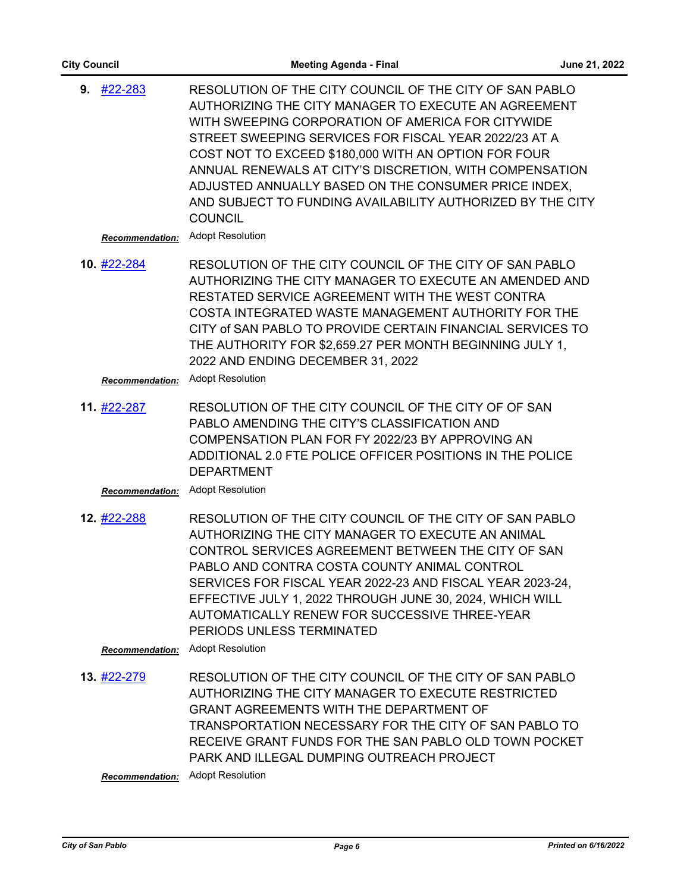| <b>City Council</b>                    | <b>Meeting Agenda - Final</b>                                                                                                                                                                                                                                                                                                                                                                                                                                                                                       | June 21, 2022 |
|----------------------------------------|---------------------------------------------------------------------------------------------------------------------------------------------------------------------------------------------------------------------------------------------------------------------------------------------------------------------------------------------------------------------------------------------------------------------------------------------------------------------------------------------------------------------|---------------|
| $9.$ #22-283<br><b>Recommendation:</b> | RESOLUTION OF THE CITY COUNCIL OF THE CITY OF SAN PABLO<br>AUTHORIZING THE CITY MANAGER TO EXECUTE AN AGREEMENT<br>WITH SWEEPING CORPORATION OF AMERICA FOR CITYWIDE<br>STREET SWEEPING SERVICES FOR FISCAL YEAR 2022/23 AT A<br>COST NOT TO EXCEED \$180,000 WITH AN OPTION FOR FOUR<br>ANNUAL RENEWALS AT CITY'S DISCRETION, WITH COMPENSATION<br>ADJUSTED ANNUALLY BASED ON THE CONSUMER PRICE INDEX,<br>AND SUBJECT TO FUNDING AVAILABILITY AUTHORIZED BY THE CITY<br><b>COUNCIL</b><br><b>Adopt Resolution</b> |               |
| 10. #22-284<br><b>Recommendation:</b>  | RESOLUTION OF THE CITY COUNCIL OF THE CITY OF SAN PABLO<br>AUTHORIZING THE CITY MANAGER TO EXECUTE AN AMENDED AND<br>RESTATED SERVICE AGREEMENT WITH THE WEST CONTRA<br>COSTA INTEGRATED WASTE MANAGEMENT AUTHORITY FOR THE<br>CITY of SAN PABLO TO PROVIDE CERTAIN FINANCIAL SERVICES TO<br>THE AUTHORITY FOR \$2,659.27 PER MONTH BEGINNING JULY 1,<br>2022 AND ENDING DECEMBER 31, 2022<br><b>Adopt Resolution</b>                                                                                               |               |
| 11. #22-287<br><b>Recommendation:</b>  | RESOLUTION OF THE CITY COUNCIL OF THE CITY OF OF SAN<br>PABLO AMENDING THE CITY'S CLASSIFICATION AND<br>COMPENSATION PLAN FOR FY 2022/23 BY APPROVING AN<br>ADDITIONAL 2.0 FTE POLICE OFFICER POSITIONS IN THE POLICE<br><b>DEPARTMENT</b><br><b>Adopt Resolution</b>                                                                                                                                                                                                                                               |               |
| 12. #22-288                            | RESOLUTION OF THE CITY COUNCIL OF THE CITY OF SAN PABLO<br>AUTHORIZING THE CITY MANAGER TO EXECUTE AN ANIMAL<br>CONTROL SERVICES AGREEMENT BETWEEN THE CITY OF SAN<br>PABLO AND CONTRA COSTA COUNTY ANIMAL CONTROL<br>SERVICES FOR FISCAL YEAR 2022-23 AND FISCAL YEAR 2023-24.<br>EFFECTIVE JULY 1, 2022 THROUGH JUNE 30, 2024, WHICH WILL<br>AUTOMATICALLY RENEW FOR SUCCESSIVE THREE-YEAR<br>PERIODS UNLESS TERMINATED<br><b>Adopt Resolution</b>                                                                |               |
| <b>Recommendation:</b>                 |                                                                                                                                                                                                                                                                                                                                                                                                                                                                                                                     |               |
| 13. #22-279                            | RESOLUTION OF THE CITY COUNCIL OF THE CITY OF SAN PABLO<br>AUTHORIZING THE CITY MANAGER TO EXECUTE RESTRICTED<br><b>GRANT AGREEMENTS WITH THE DEPARTMENT OF</b><br>TRANSPORTATION NECESSARY FOR THE CITY OF SAN PABLO TO<br>RECEIVE GRANT FUNDS FOR THE SAN PABLO OLD TOWN POCKET                                                                                                                                                                                                                                   |               |

*Recommendation:* Adopt Resolution

PARK AND ILLEGAL DUMPING OUTREACH PROJECT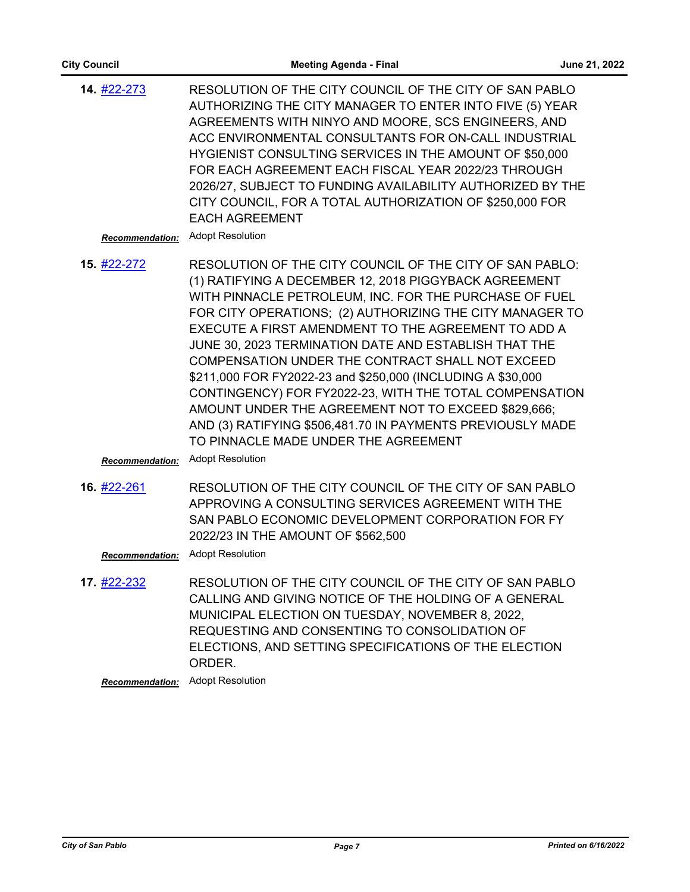| <b>City Council</b>                          | <b>Meeting Agenda - Final</b>                                                                                                                                                                                                                                                                                                                                                                                                                                                                                                                                                                                                                                                                                                 | June 21, 2022 |
|----------------------------------------------|-------------------------------------------------------------------------------------------------------------------------------------------------------------------------------------------------------------------------------------------------------------------------------------------------------------------------------------------------------------------------------------------------------------------------------------------------------------------------------------------------------------------------------------------------------------------------------------------------------------------------------------------------------------------------------------------------------------------------------|---------------|
| 14. #22-273<br><b>Recommendation:</b>        | RESOLUTION OF THE CITY COUNCIL OF THE CITY OF SAN PABLO<br>AUTHORIZING THE CITY MANAGER TO ENTER INTO FIVE (5) YEAR<br>AGREEMENTS WITH NINYO AND MOORE, SCS ENGINEERS, AND<br>ACC ENVIRONMENTAL CONSULTANTS FOR ON-CALL INDUSTRIAL<br>HYGIENIST CONSULTING SERVICES IN THE AMOUNT OF \$50,000<br>FOR EACH AGREEMENT EACH FISCAL YEAR 2022/23 THROUGH<br>2026/27, SUBJECT TO FUNDING AVAILABILITY AUTHORIZED BY THE<br>CITY COUNCIL, FOR A TOTAL AUTHORIZATION OF \$250,000 FOR<br><b>EACH AGREEMENT</b><br><b>Adopt Resolution</b>                                                                                                                                                                                            |               |
| 15. #22-272<br><b>Recommendation:</b>        | RESOLUTION OF THE CITY COUNCIL OF THE CITY OF SAN PABLO:<br>(1) RATIFYING A DECEMBER 12, 2018 PIGGYBACK AGREEMENT<br>WITH PINNACLE PETROLEUM, INC. FOR THE PURCHASE OF FUEL<br>FOR CITY OPERATIONS; (2) AUTHORIZING THE CITY MANAGER TO<br>EXECUTE A FIRST AMENDMENT TO THE AGREEMENT TO ADD A<br>JUNE 30, 2023 TERMINATION DATE AND ESTABLISH THAT THE<br>COMPENSATION UNDER THE CONTRACT SHALL NOT EXCEED<br>\$211,000 FOR FY2022-23 and \$250,000 (INCLUDING A \$30,000<br>CONTINGENCY) FOR FY2022-23, WITH THE TOTAL COMPENSATION<br>AMOUNT UNDER THE AGREEMENT NOT TO EXCEED \$829,666;<br>AND (3) RATIFYING \$506,481.70 IN PAYMENTS PREVIOUSLY MADE<br>TO PINNACLE MADE UNDER THE AGREEMENT<br><b>Adopt Resolution</b> |               |
| 16. #22-261<br><b>Recommendation:</b>        | RESOLUTION OF THE CITY COUNCIL OF THE CITY OF SAN PABLO<br>APPROVING A CONSULTING SERVICES AGREEMENT WITH THE<br>SAN PABLO ECONOMIC DEVELOPMENT CORPORATION FOR FY<br>2022/23 IN THE AMOUNT OF \$562,500<br><b>Adopt Resolution</b>                                                                                                                                                                                                                                                                                                                                                                                                                                                                                           |               |
| 17. <u>#22-232</u><br><b>Recommendation:</b> | RESOLUTION OF THE CITY COUNCIL OF THE CITY OF SAN PABLO<br>CALLING AND GIVING NOTICE OF THE HOLDING OF A GENERAL<br>MUNICIPAL ELECTION ON TUESDAY, NOVEMBER 8, 2022,<br>REQUESTING AND CONSENTING TO CONSOLIDATION OF<br>ELECTIONS, AND SETTING SPECIFICATIONS OF THE ELECTION<br>ORDER.<br><b>Adopt Resolution</b>                                                                                                                                                                                                                                                                                                                                                                                                           |               |
|                                              |                                                                                                                                                                                                                                                                                                                                                                                                                                                                                                                                                                                                                                                                                                                               |               |
|                                              |                                                                                                                                                                                                                                                                                                                                                                                                                                                                                                                                                                                                                                                                                                                               |               |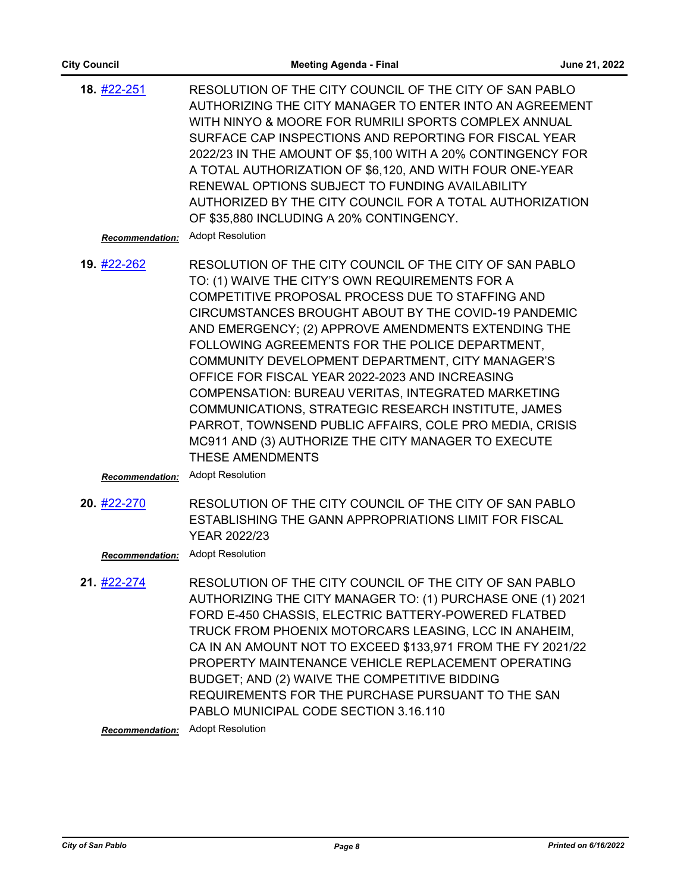| <b>Meeting Agenda - Final</b>                                                                                                                                                                                                                                   | June 21, 2022                                                                                                                                                                                                                                                                                                                                                                                                                                                                                                                                                                                                                                                                                                                                                                                                                                                                                                                                                                                                                                                                                                                                                                                                                                                                                                                                                                                                                   |
|-----------------------------------------------------------------------------------------------------------------------------------------------------------------------------------------------------------------------------------------------------------------|---------------------------------------------------------------------------------------------------------------------------------------------------------------------------------------------------------------------------------------------------------------------------------------------------------------------------------------------------------------------------------------------------------------------------------------------------------------------------------------------------------------------------------------------------------------------------------------------------------------------------------------------------------------------------------------------------------------------------------------------------------------------------------------------------------------------------------------------------------------------------------------------------------------------------------------------------------------------------------------------------------------------------------------------------------------------------------------------------------------------------------------------------------------------------------------------------------------------------------------------------------------------------------------------------------------------------------------------------------------------------------------------------------------------------------|
| RENEWAL OPTIONS SUBJECT TO FUNDING AVAILABILITY<br>OF \$35,880 INCLUDING A 20% CONTINGENCY.<br><b>Adopt Resolution</b>                                                                                                                                          |                                                                                                                                                                                                                                                                                                                                                                                                                                                                                                                                                                                                                                                                                                                                                                                                                                                                                                                                                                                                                                                                                                                                                                                                                                                                                                                                                                                                                                 |
| TO: (1) WAIVE THE CITY'S OWN REQUIREMENTS FOR A<br>COMPETITIVE PROPOSAL PROCESS DUE TO STAFFING AND<br>FOLLOWING AGREEMENTS FOR THE POLICE DEPARTMENT,<br>OFFICE FOR FISCAL YEAR 2022-2023 AND INCREASING<br><b>THESE AMENDMENTS</b><br><b>Adopt Resolution</b> |                                                                                                                                                                                                                                                                                                                                                                                                                                                                                                                                                                                                                                                                                                                                                                                                                                                                                                                                                                                                                                                                                                                                                                                                                                                                                                                                                                                                                                 |
| <b>YEAR 2022/23</b><br><b>Adopt Resolution</b>                                                                                                                                                                                                                  |                                                                                                                                                                                                                                                                                                                                                                                                                                                                                                                                                                                                                                                                                                                                                                                                                                                                                                                                                                                                                                                                                                                                                                                                                                                                                                                                                                                                                                 |
| BUDGET; AND (2) WAIVE THE COMPETITIVE BIDDING<br>PABLO MUNICIPAL CODE SECTION 3.16.110<br><b>Adopt Resolution</b>                                                                                                                                               |                                                                                                                                                                                                                                                                                                                                                                                                                                                                                                                                                                                                                                                                                                                                                                                                                                                                                                                                                                                                                                                                                                                                                                                                                                                                                                                                                                                                                                 |
|                                                                                                                                                                                                                                                                 | RESOLUTION OF THE CITY COUNCIL OF THE CITY OF SAN PABLO<br>AUTHORIZING THE CITY MANAGER TO ENTER INTO AN AGREEMENT<br>WITH NINYO & MOORE FOR RUMRILI SPORTS COMPLEX ANNUAL<br>SURFACE CAP INSPECTIONS AND REPORTING FOR FISCAL YEAR<br>2022/23 IN THE AMOUNT OF \$5,100 WITH A 20% CONTINGENCY FOR<br>A TOTAL AUTHORIZATION OF \$6,120, AND WITH FOUR ONE-YEAR<br>AUTHORIZED BY THE CITY COUNCIL FOR A TOTAL AUTHORIZATION<br>RESOLUTION OF THE CITY COUNCIL OF THE CITY OF SAN PABLO<br>CIRCUMSTANCES BROUGHT ABOUT BY THE COVID-19 PANDEMIC<br>AND EMERGENCY; (2) APPROVE AMENDMENTS EXTENDING THE<br>COMMUNITY DEVELOPMENT DEPARTMENT, CITY MANAGER'S<br>COMPENSATION: BUREAU VERITAS, INTEGRATED MARKETING<br>COMMUNICATIONS, STRATEGIC RESEARCH INSTITUTE, JAMES<br>PARROT, TOWNSEND PUBLIC AFFAIRS, COLE PRO MEDIA, CRISIS<br>MC911 AND (3) AUTHORIZE THE CITY MANAGER TO EXECUTE<br>RESOLUTION OF THE CITY COUNCIL OF THE CITY OF SAN PABLO<br>ESTABLISHING THE GANN APPROPRIATIONS LIMIT FOR FISCAL<br>RESOLUTION OF THE CITY COUNCIL OF THE CITY OF SAN PABLO<br>AUTHORIZING THE CITY MANAGER TO: (1) PURCHASE ONE (1) 2021<br>FORD E-450 CHASSIS, ELECTRIC BATTERY-POWERED FLATBED<br>TRUCK FROM PHOENIX MOTORCARS LEASING, LCC IN ANAHEIM,<br>CA IN AN AMOUNT NOT TO EXCEED \$133,971 FROM THE FY 2021/22<br>PROPERTY MAINTENANCE VEHICLE REPLACEMENT OPERATING<br>REQUIREMENTS FOR THE PURCHASE PURSUANT TO THE SAN |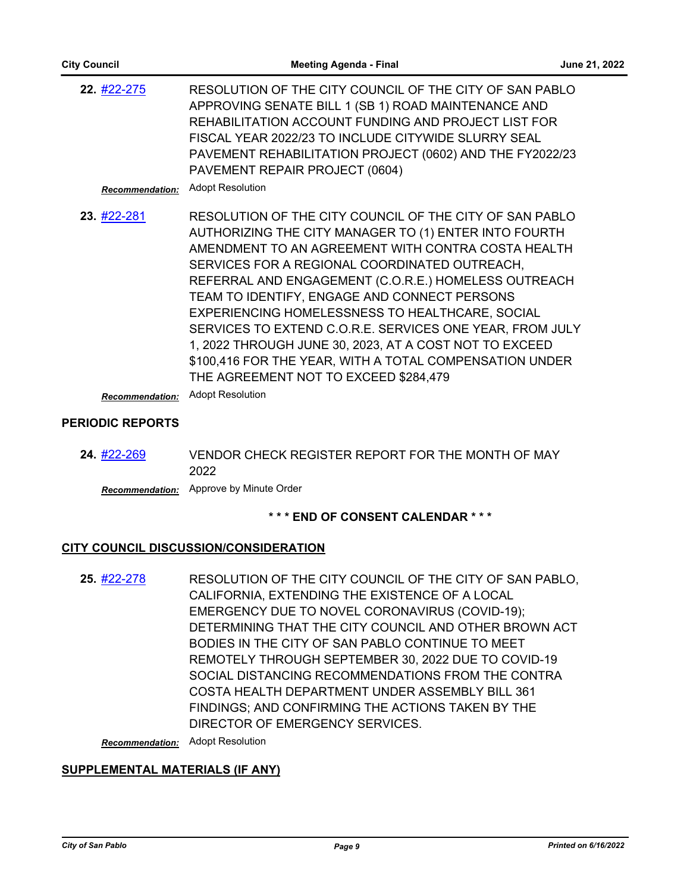| 22. #22-275            | RESOLUTION OF THE CITY COUNCIL OF THE CITY OF SAN PABLO<br>APPROVING SENATE BILL 1 (SB 1) ROAD MAINTENANCE AND<br>REHABILITATION ACCOUNT FUNDING AND PROJECT LIST FOR<br>FISCAL YEAR 2022/23 TO INCLUDE CITYWIDE SLURRY SEAL<br>PAVEMENT REHABILITATION PROJECT (0602) AND THE FY2022/23<br>PAVEMENT REPAIR PROJECT (0604)                                                                                                                                                                                                                                                                                   |
|------------------------|--------------------------------------------------------------------------------------------------------------------------------------------------------------------------------------------------------------------------------------------------------------------------------------------------------------------------------------------------------------------------------------------------------------------------------------------------------------------------------------------------------------------------------------------------------------------------------------------------------------|
| <b>Recommendation:</b> | <b>Adopt Resolution</b>                                                                                                                                                                                                                                                                                                                                                                                                                                                                                                                                                                                      |
| 23. #22-281            | RESOLUTION OF THE CITY COUNCIL OF THE CITY OF SAN PABLO<br>AUTHORIZING THE CITY MANAGER TO (1) ENTER INTO FOURTH<br>AMENDMENT TO AN AGREEMENT WITH CONTRA COSTA HEALTH<br>SERVICES FOR A REGIONAL COORDINATED OUTREACH,<br>REFERRAL AND ENGAGEMENT (C.O.R.E.) HOMELESS OUTREACH<br>TEAM TO IDENTIFY, ENGAGE AND CONNECT PERSONS<br>EXPERIENCING HOMELESSNESS TO HEALTHCARE, SOCIAL<br>SERVICES TO EXTEND C.O.R.E. SERVICES ONE YEAR, FROM JULY<br>1, 2022 THROUGH JUNE 30, 2023, AT A COST NOT TO EXCEED<br>\$100,416 FOR THE YEAR, WITH A TOTAL COMPENSATION UNDER<br>THE AGREEMENT NOT TO EXCEED \$284,479 |

*Recommendation:* Adopt Resolution

## **PERIODIC REPORTS**

VENDOR CHECK REGISTER REPORT FOR THE MONTH OF MAY 2022 **24.** [#22-269](http://sanpablo.legistar.com/gateway.aspx?m=l&id=/matter.aspx?key=5401)

*Recommendation:* Approve by Minute Order

## **\* \* \* END OF CONSENT CALENDAR \* \* \***

## **CITY COUNCIL DISCUSSION/CONSIDERATION**

RESOLUTION OF THE CITY COUNCIL OF THE CITY OF SAN PABLO, CALIFORNIA, EXTENDING THE EXISTENCE OF A LOCAL EMERGENCY DUE TO NOVEL CORONAVIRUS (COVID-19); DETERMINING THAT THE CITY COUNCIL AND OTHER BROWN ACT BODIES IN THE CITY OF SAN PABLO CONTINUE TO MEET REMOTELY THROUGH SEPTEMBER 30, 2022 DUE TO COVID-19 SOCIAL DISTANCING RECOMMENDATIONS FROM THE CONTRA COSTA HEALTH DEPARTMENT UNDER ASSEMBLY BILL 361 FINDINGS; AND CONFIRMING THE ACTIONS TAKEN BY THE DIRECTOR OF EMERGENCY SERVICES. **25.** [#22-278](http://sanpablo.legistar.com/gateway.aspx?m=l&id=/matter.aspx?key=5410)

*Recommendation:* Adopt Resolution

## **SUPPLEMENTAL MATERIALS (IF ANY)**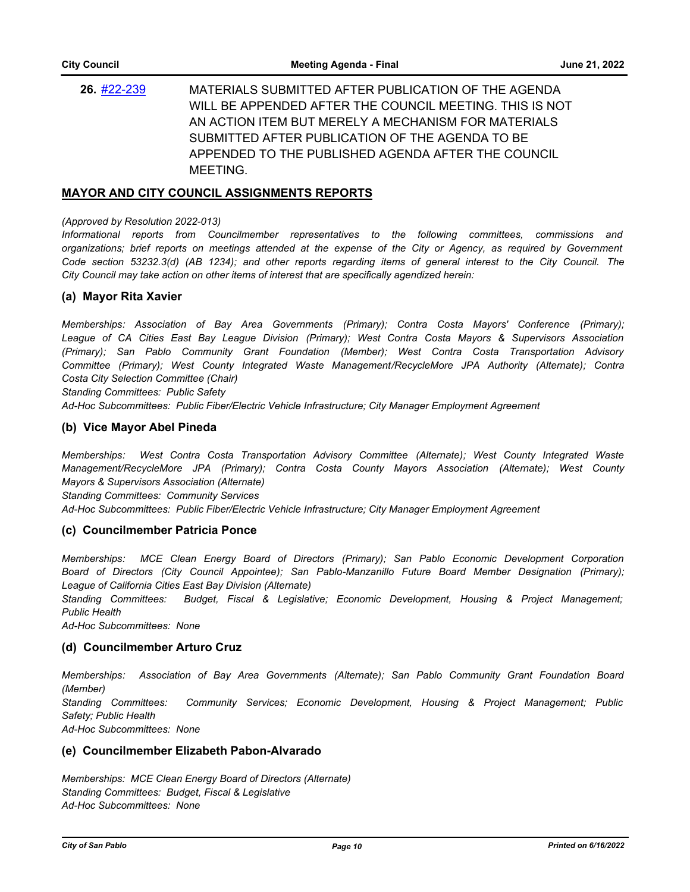MATERIALS SUBMITTED AFTER PUBLICATION OF THE AGENDA WILL BE APPENDED AFTER THE COUNCIL MEETING. THIS IS NOT AN ACTION ITEM BUT MERELY A MECHANISM FOR MATERIALS SUBMITTED AFTER PUBLICATION OF THE AGENDA TO BE APPENDED TO THE PUBLISHED AGENDA AFTER THE COUNCIL MEETING. **26.** [#22-239](http://sanpablo.legistar.com/gateway.aspx?m=l&id=/matter.aspx?key=5371)

#### **MAYOR AND CITY COUNCIL ASSIGNMENTS REPORTS**

#### *(Approved by Resolution 2022-013)*

*Informational reports from Councilmember representatives to the following committees, commissions and organizations; brief reports on meetings attended at the expense of the City or Agency, as required by Government Code section 53232.3(d) (AB 1234); and other reports regarding items of general interest to the City Council. The City Council may take action on other items of interest that are specifically agendized herein:*

#### **(a) Mayor Rita Xavier**

*Memberships: Association of Bay Area Governments (Primary); Contra Costa Mayors' Conference (Primary); League of CA Cities East Bay League Division (Primary); West Contra Costa Mayors & Supervisors Association (Primary); San Pablo Community Grant Foundation (Member); West Contra Costa Transportation Advisory Committee (Primary); West County Integrated Waste Management/RecycleMore JPA Authority (Alternate); Contra Costa City Selection Committee (Chair)*

*Standing Committees: Public Safety*

*Ad-Hoc Subcommittees: Public Fiber/Electric Vehicle Infrastructure; City Manager Employment Agreement*

#### **(b) Vice Mayor Abel Pineda**

*Memberships: West Contra Costa Transportation Advisory Committee (Alternate); West County Integrated Waste Management/RecycleMore JPA (Primary); Contra Costa County Mayors Association (Alternate); West County Mayors & Supervisors Association (Alternate) Standing Committees: Community Services*

*Ad-Hoc Subcommittees: Public Fiber/Electric Vehicle Infrastructure; City Manager Employment Agreement*

#### **(c) Councilmember Patricia Ponce**

*Memberships: MCE Clean Energy Board of Directors (Primary); San Pablo Economic Development Corporation Board of Directors (City Council Appointee); San Pablo-Manzanillo Future Board Member Designation (Primary); League of California Cities East Bay Division (Alternate)*

*Standing Committees: Budget, Fiscal & Legislative; Economic Development, Housing & Project Management; Public Health*

*Ad-Hoc Subcommittees: None*

#### **(d) Councilmember Arturo Cruz**

*Memberships: Association of Bay Area Governments (Alternate); San Pablo Community Grant Foundation Board (Member) Standing Committees: Community Services; Economic Development, Housing & Project Management; Public Safety; Public Health Ad-Hoc Subcommittees: None*

#### **(e) Councilmember Elizabeth Pabon-Alvarado**

*Memberships: MCE Clean Energy Board of Directors (Alternate) Standing Committees: Budget, Fiscal & Legislative Ad-Hoc Subcommittees: None*